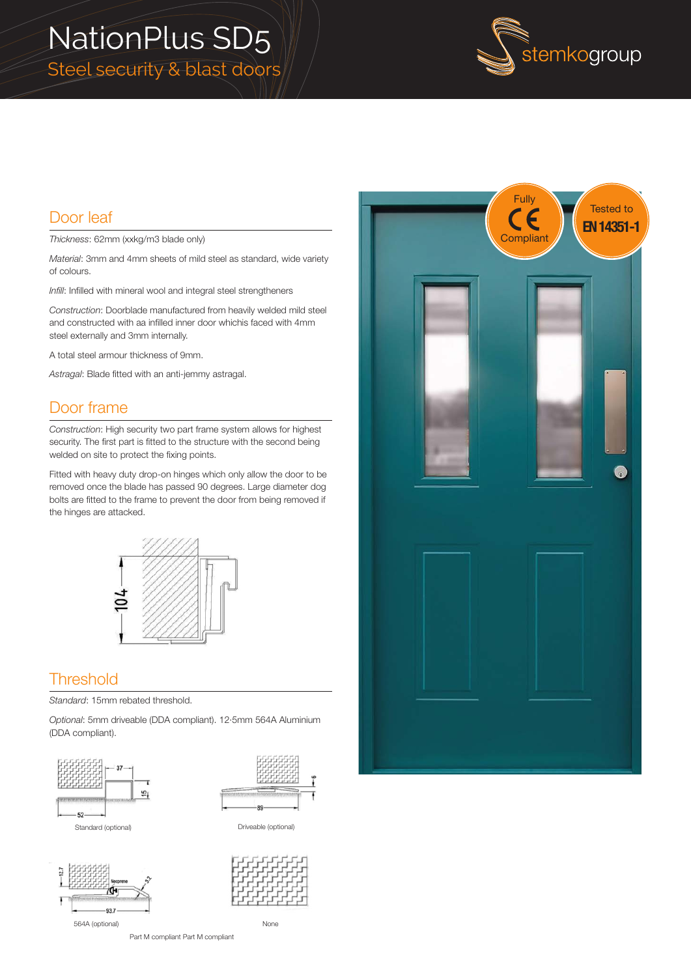# NationPlus SD5 Steel security & blast doors



#### Door leaf

*Thickness*: 62mm (xxkg/m3 blade only)

*Material*: 3mm and 4mm sheets of mild steel as standard, wide variety of colours.

*Infill*: Infilled with mineral wool and integral steel strengtheners

*Construction*: Doorblade manufactured from heavily welded mild steel and constructed with aa infilled inner door whichis faced with 4mm steel externally and 3mm internally.

A total steel armour thickness of 9mm.

*Astragal*: Blade fitted with an anti-jemmy astragal.

# Door frame

*Construction*: High security two part frame system allows for highest security. The first part is fitted to the structure with the second being welded on site to protect the fixing points.

Fitted with heavy duty drop-on hinges which only allow the door to be removed once the blade has passed 90 degrees. Large diameter dog bolts are fitted to the frame to prevent the door from being removed if the hinges are attacked.



# **Threshold**

*Standard*: 15mm rebated threshold.

*Optional*: 5mm driveable (DDA compliant). 12·5mm 564A Aluminium (DDA compliant).





Standard (optional) **Driveable (optional)** Driveable (optional)



None

564A (optional)

Part M compliant Part M compliant